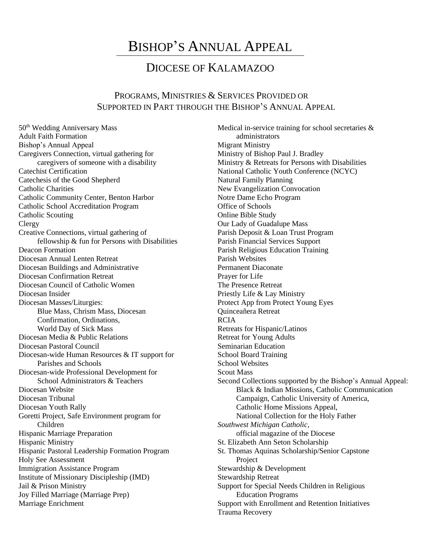## BISHOP'S ANNUAL APPEAL

## DIOCESE OF KALAMAZOO

## PROGRAMS, MINISTRIES & SERVICES PROVIDED OR SUPPORTED IN PART THROUGH THE BISHOP'S ANNUAL APPEAL

50th Wedding Anniversary Mass Adult Faith Formation Bishop's Annual Appeal Caregivers Connection, virtual gathering for caregivers of someone with a disability Catechist Certification Catechesis of the Good Shepherd Catholic Charities Catholic Community Center, Benton Harbor Catholic School Accreditation Program Catholic Scouting Clergy Creative Connections, virtual gathering of fellowship & fun for Persons with Disabilities Deacon Formation Diocesan Annual Lenten Retreat Diocesan Buildings and Administrative Diocesan Confirmation Retreat Diocesan Council of Catholic Women Diocesan Insider Diocesan Masses/Liturgies: Blue Mass, Chrism Mass, Diocesan Confirmation, Ordinations, World Day of Sick Mass Diocesan Media & Public Relations Diocesan Pastoral Council Diocesan-wide Human Resources & IT support for Parishes and Schools Diocesan-wide Professional Development for School Administrators & Teachers Diocesan Website Diocesan Tribunal Diocesan Youth Rally Goretti Project, Safe Environment program for Children Hispanic Marriage Preparation Hispanic Ministry Hispanic Pastoral Leadership Formation Program Holy See Assessment Immigration Assistance Program Institute of Missionary Discipleship (IMD) Jail & Prison Ministry Joy Filled Marriage (Marriage Prep) Marriage Enrichment

Medical in-service training for school secretaries & administrators Migrant Ministry Ministry of Bishop Paul J. Bradley Ministry & Retreats for Persons with Disabilities National Catholic Youth Conference (NCYC) Natural Family Planning New Evangelization Convocation Notre Dame Echo Program Office of Schools Online Bible Study Our Lady of Guadalupe Mass Parish Deposit & Loan Trust Program Parish Financial Services Support Parish Religious Education Training Parish Websites Permanent Diaconate Prayer for Life The Presence Retreat Priestly Life & Lay Ministry Protect App from Protect Young Eyes Quinceañera Retreat RCIA Retreats for Hispanic/Latinos Retreat for Young Adults Seminarian Education School Board Training School Websites Scout Mass Second Collections supported by the Bishop's Annual Appeal: Black & Indian Missions, Catholic Communication Campaign, Catholic University of America, Catholic Home Missions Appeal, National Collection for the Holy Father *Southwest Michigan Catholic,*  official magazine of the Diocese St. Elizabeth Ann Seton Scholarship St. Thomas Aquinas Scholarship/Senior Capstone Project Stewardship & Development Stewardship Retreat Support for Special Needs Children in Religious Education Programs Support with Enrollment and Retention Initiatives Trauma Recovery